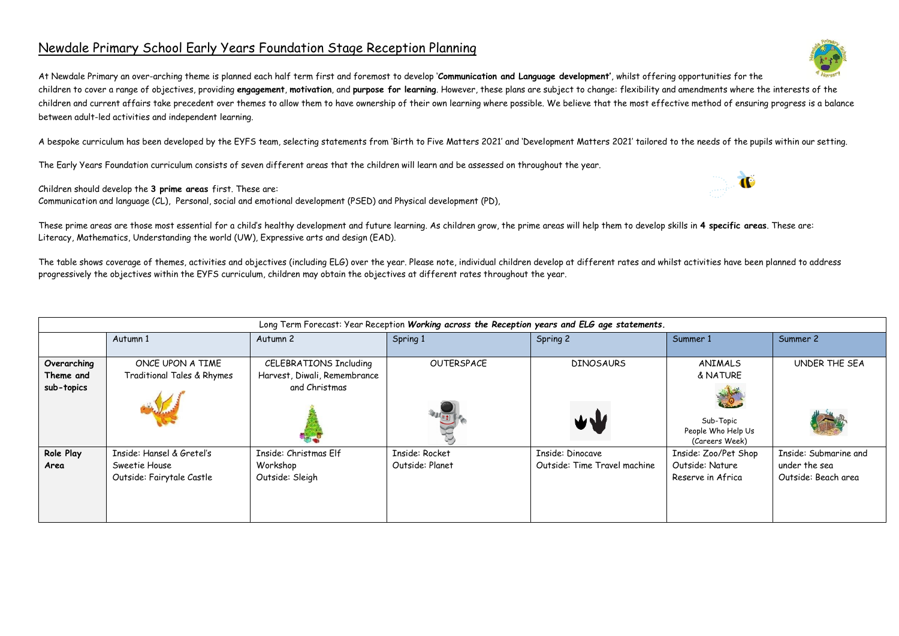## Newdale Primary School Early Years Foundation Stage Reception Planning

At Newdale Primary an over-arching theme is planned each half term first and foremost to develop '**Communication and Language development'**, whilst offering opportunities for the children to cover a range of objectives, providing **engagement**, **motivation**, and **purpose for learning**. However, these plans are subject to change: flexibility and amendments where the interests of the children and current affairs take precedent over themes to allow them to have ownership of their own learning where possible. We believe that the most effective method of ensuring progress is a balance between adult-led activities and independent learning.

A bespoke curriculum has been developed by the EYFS team, selecting statements from 'Birth to Five Matters 2021' and 'Development Matters 2021' tailored to the needs of the pupils within our setting.

The Early Years Foundation curriculum consists of seven different areas that the children will learn and be assessed on throughout the year.

Children should develop the **3 prime areas** first. These are:

Communication and language (CL), Personal, social and emotional development (PSED) and Physical development (PD),

These prime areas are those most essential for a child's healthy development and future learning. As children grow, the prime areas will help them to develop skills in **4 specific areas**. These are: Literacy, Mathematics, Understanding the world (UW), Expressive arts and design (EAD).

The table shows coverage of themes, activities and objectives (including ELG) over the year. Please note, individual children develop at different rates and whilst activities have been planned to address progressively the objectives within the EYFS curriculum, children may obtain the objectives at different rates throughout the year.

|                                        | Long Term Forecast: Year Reception Working across the Reception years and ELG age statements. |                                                                         |                                   |                                                  |                                                                          |                                                               |  |  |  |  |  |
|----------------------------------------|-----------------------------------------------------------------------------------------------|-------------------------------------------------------------------------|-----------------------------------|--------------------------------------------------|--------------------------------------------------------------------------|---------------------------------------------------------------|--|--|--|--|--|
|                                        | Autumn 1                                                                                      | Autumn 2                                                                | Spring 1                          | Spring 2                                         | Summer 1                                                                 | Summer 2                                                      |  |  |  |  |  |
| Overarching<br>Theme and<br>sub-topics | ONCE UPON A TIME<br>Traditional Tales & Rhymes                                                | CELEBRATIONS Including<br>Harvest, Diwali, Remembrance<br>and Christmas | OUTERSPACE                        | <b>DINOSAURS</b><br>WW                           | ANIMALS<br>& NATURE<br>Sub-Topic<br>People Who Help Us<br>(Careers Week) | UNDER THE SEA                                                 |  |  |  |  |  |
| Role Play<br>Area                      | Inside: Hansel & Gretel's<br>Sweetie House<br>Outside: Fairytale Castle                       | Inside: Christmas Elf<br>Workshop<br>Outside: Sleigh                    | Inside: Rocket<br>Outside: Planet | Inside: Dinocave<br>Outside: Time Travel machine | Inside: Zoo/Pet Shop<br>Outside: Nature<br>Reserve in Africa             | Inside: Submarine and<br>under the sea<br>Outside: Beach area |  |  |  |  |  |



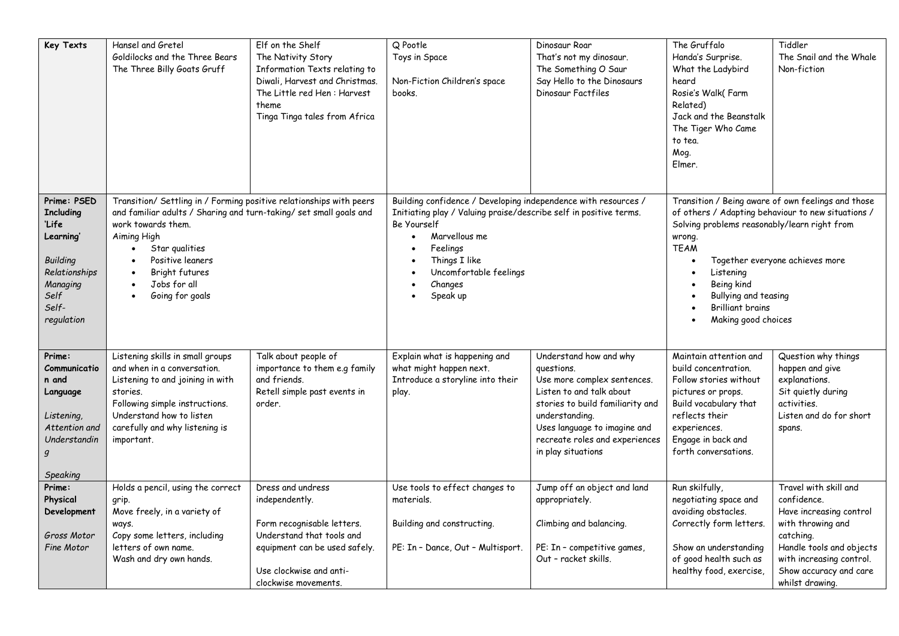| Key Texts                                                                                                                            | Hansel and Gretel<br>Goldilocks and the Three Bears<br>The Three Billy Goats Gruff                                                                                                                                                                                                                  | Elf on the Shelf<br>The Nativity Story<br>Information Texts relating to<br>Diwali, Harvest and Christmas.<br>The Little red Hen: Harvest<br>theme<br>Tinga Tinga tales from Africa | Q Pootle<br>Toys in Space<br>Non-Fiction Children's space<br>books.                                                                                                                                                                               | Dinosaur Roar<br>That's not my dinosaur.<br>The Something O Saur<br>Say Hello to the Dinosaurs<br>Dinosaur Factfiles                                                                                                                          | The Gruffalo<br>Handa's Surprise.<br>What the Ladybird<br>heard<br>Rosie's Walk(Farm<br>Related)<br>Jack and the Beanstalk<br>The Tiger Who Came<br>to tea.<br>Mog.<br>Elmer.                                                                                                                                             | Tiddler<br>The Snail and the Whale<br>Non-fiction                                                                                                                                                      |  |
|--------------------------------------------------------------------------------------------------------------------------------------|-----------------------------------------------------------------------------------------------------------------------------------------------------------------------------------------------------------------------------------------------------------------------------------------------------|------------------------------------------------------------------------------------------------------------------------------------------------------------------------------------|---------------------------------------------------------------------------------------------------------------------------------------------------------------------------------------------------------------------------------------------------|-----------------------------------------------------------------------------------------------------------------------------------------------------------------------------------------------------------------------------------------------|---------------------------------------------------------------------------------------------------------------------------------------------------------------------------------------------------------------------------------------------------------------------------------------------------------------------------|--------------------------------------------------------------------------------------------------------------------------------------------------------------------------------------------------------|--|
| Prime: PSED<br><b>Including</b><br>'Life<br>Learning'<br><b>Building</b><br>Relationships<br>Managing<br>Self<br>Self-<br>regulation | Transition/ Settling in / Forming positive relationships with peers<br>and familiar adults / Sharing and turn-taking/ set small goals and<br>work towards them.<br>Aiming High<br>Star qualities<br>$\bullet$<br>Positive leaners<br>$\bullet$<br>Bright futures<br>Jobs for all<br>Going for goals |                                                                                                                                                                                    | Building confidence / Developing independence with resources /<br>Initiating play / Valuing praise/describe self in positive terms.<br>Be Yourself<br>Marvellous me<br>Feelings<br>Things I like<br>Uncomfortable feelings<br>Changes<br>Speak up |                                                                                                                                                                                                                                               | Transition / Being aware of own feelings and those<br>of others / Adapting behaviour to new situations /<br>Solving problems reasonably/learn right from<br>wrong.<br><b>TEAM</b><br>Together everyone achieves more<br>Listening<br>Being kind<br>Bullying and teasing<br><b>Brilliant brains</b><br>Making good choices |                                                                                                                                                                                                        |  |
| Prime:<br>Communicatio<br>n and<br>Language<br>Listening,<br>Attention and<br>Understandin<br>Speaking                               | Listening skills in small groups<br>and when in a conversation.<br>Listening to and joining in with<br>stories.<br>Following simple instructions.<br>Understand how to listen<br>carefully and why listening is<br>important.                                                                       | Talk about people of<br>importance to them e.g family<br>and friends.<br>Retell simple past events in<br>order.                                                                    | Explain what is happening and<br>what might happen next.<br>Introduce a storyline into their<br>play.                                                                                                                                             | Understand how and why<br>questions.<br>Use more complex sentences.<br>Listen to and talk about<br>stories to build familiarity and<br>understanding.<br>Uses language to imagine and<br>recreate roles and experiences<br>in play situations | Maintain attention and<br>build concentration.<br>Follow stories without<br>pictures or props.<br>Build vocabulary that<br>reflects their<br>experiences.<br>Engage in back and<br>forth conversations.                                                                                                                   | Question why things<br>happen and give<br>explanations.<br>Sit quietly during<br>activities.<br>Listen and do for short<br>spans.                                                                      |  |
| Prime:<br>Physical<br>Development<br>Gross Motor<br>Fine Motor                                                                       | Holds a pencil, using the correct<br>grip.<br>Move freely, in a variety of<br>ways.<br>Copy some letters, including<br>letters of own name.<br>Wash and dry own hands.                                                                                                                              | Dress and undress<br>independently.<br>Form recognisable letters.<br>Understand that tools and<br>equipment can be used safely.<br>Use clockwise and anti-<br>clockwise movements. | Use tools to effect changes to<br>materials.<br>Building and constructing.<br>PE: In - Dance, Out - Multisport.                                                                                                                                   | Jump off an object and land<br>appropriately.<br>Climbing and balancing.<br>PE: In - competitive games,<br>Out - racket skills.                                                                                                               | Run skilfully,<br>negotiating space and<br>avoiding obstacles.<br>Correctly form letters.<br>Show an understanding<br>of good health such as<br>healthy food, exercise,                                                                                                                                                   | Travel with skill and<br>confidence.<br>Have increasing control<br>with throwing and<br>catching.<br>Handle tools and objects<br>with increasing control.<br>Show accuracy and care<br>whilst drawing. |  |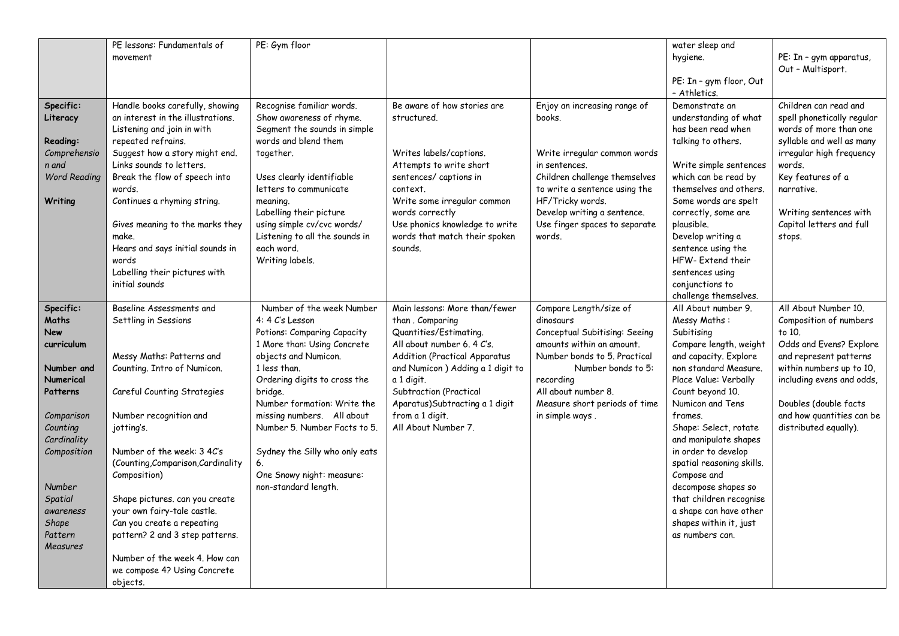|                                                                                                                                                                                                                 | PE lessons: Fundamentals of<br>movement                                                                                                                                                                                                                                                                                                                                                                   | PE: Gym floor                                                                                                                                                                                                                                                                                                                                                                           |                                                                                                                                                                                                                                                                                                           |                                                                                                                                                                                                                                                 | water sleep and<br>hygiene.<br>PE: In - gym floor, Out<br>- Athletics.                                                                                                                                                                                                                                                                                                                                                                                  | PE: In - gym apparatus,<br>Out - Multisport.                                                                                                                                                                                                          |
|-----------------------------------------------------------------------------------------------------------------------------------------------------------------------------------------------------------------|-----------------------------------------------------------------------------------------------------------------------------------------------------------------------------------------------------------------------------------------------------------------------------------------------------------------------------------------------------------------------------------------------------------|-----------------------------------------------------------------------------------------------------------------------------------------------------------------------------------------------------------------------------------------------------------------------------------------------------------------------------------------------------------------------------------------|-----------------------------------------------------------------------------------------------------------------------------------------------------------------------------------------------------------------------------------------------------------------------------------------------------------|-------------------------------------------------------------------------------------------------------------------------------------------------------------------------------------------------------------------------------------------------|---------------------------------------------------------------------------------------------------------------------------------------------------------------------------------------------------------------------------------------------------------------------------------------------------------------------------------------------------------------------------------------------------------------------------------------------------------|-------------------------------------------------------------------------------------------------------------------------------------------------------------------------------------------------------------------------------------------------------|
| Specific:<br>Literacy                                                                                                                                                                                           | Handle books carefully, showing<br>an interest in the illustrations.<br>Listening and join in with<br>repeated refrains.                                                                                                                                                                                                                                                                                  | Recognise familiar words.<br>Show awareness of rhyme.<br>Segment the sounds in simple<br>words and blend them                                                                                                                                                                                                                                                                           | Be aware of how stories are<br>structured.                                                                                                                                                                                                                                                                | Enjoy an increasing range of<br>books.                                                                                                                                                                                                          | Demonstrate an<br>understanding of what<br>has been read when                                                                                                                                                                                                                                                                                                                                                                                           | Children can read and<br>spell phonetically regular<br>words of more than one<br>syllable and well as many                                                                                                                                            |
| Reading:<br>Comprehensio<br>n and<br><b>Word Reading</b><br>Writing                                                                                                                                             | Suggest how a story might end.<br>Links sounds to letters.<br>Break the flow of speech into<br>words.<br>Continues a rhyming string.<br>Gives meaning to the marks they<br>make.<br>Hears and says initial sounds in<br>words<br>Labelling their pictures with<br>initial sounds                                                                                                                          | together.<br>Uses clearly identifiable<br>letters to communicate<br>meaning.<br>Labelling their picture<br>using simple cv/cvc words/<br>Listening to all the sounds in<br>each word.<br>Writing labels.                                                                                                                                                                                | Writes labels/captions.<br>Attempts to write short<br>sentences/ captions in<br>context.<br>Write some irregular common<br>words correctly<br>Use phonics knowledge to write<br>words that match their spoken<br>sounds.                                                                                  | Write irregular common words<br>in sentences.<br>Children challenge themselves<br>to write a sentence using the<br>HF/Tricky words.<br>Develop writing a sentence.<br>Use finger spaces to separate<br>words.                                   | talking to others.<br>Write simple sentences<br>which can be read by<br>themselves and others.<br>Some words are spelt<br>correctly, some are<br>plausible.<br>Develop writing a<br>sentence using the<br>HFW-Extend their<br>sentences using<br>conjunctions to<br>challenge themselves.                                                                                                                                                               | irregular high frequency<br>words.<br>Key features of a<br>narrative.<br>Writing sentences with<br>Capital letters and full<br>stops.                                                                                                                 |
| Specific:<br>Maths<br><b>New</b><br>curriculum<br>Number and<br>Numerical<br>Patterns<br>Comparison<br>Counting<br>Cardinality<br>Composition<br>Number<br>Spatial<br>awareness<br>Shape<br>Pattern<br>Measures | Baseline Assessments and<br>Settling in Sessions<br>Messy Maths: Patterns and<br>Counting. Intro of Numicon.<br>Careful Counting Strategies<br>Number recognition and<br>jotting's.<br>Number of the week: 3 4C's<br>(Counting, Comparison, Cardinality<br>Composition)<br>Shape pictures. can you create<br>your own fairy-tale castle.<br>Can you create a repeating<br>pattern? 2 and 3 step patterns. | Number of the week Number<br>4: 4 C's Lesson<br>Potions: Comparing Capacity<br>1 More than: Using Concrete<br>objects and Numicon.<br>1 less than.<br>Ordering digits to cross the<br>bridge.<br>Number formation: Write the<br>missing numbers. All about<br>Number 5. Number Facts to 5.<br>Sydney the Silly who only eats<br>6.<br>One Snowy night: measure:<br>non-standard length. | Main lessons: More than/fewer<br>than. Comparing<br>Quantities/Estimating.<br>All about number 6.4 C's.<br><b>Addition (Practical Apparatus</b><br>and Numicon ) Adding a 1 digit to<br>a 1 digit.<br>Subtraction (Practical<br>Aparatus) Subtracting a 1 digit<br>from a 1 digit.<br>All About Number 7. | Compare Length/size of<br>dinosaurs<br>Conceptual Subitising: Seeing<br>amounts within an amount.<br>Number bonds to 5. Practical<br>Number bonds to 5:<br>recording<br>All about number 8.<br>Measure short periods of time<br>in simple ways. | All About number 9.<br>Messy Maths:<br>Subitising<br>Compare length, weight<br>and capacity. Explore<br>non standard Measure.<br>Place Value: Verbally<br>Count beyond 10.<br>Numicon and Tens<br>frames.<br>Shape: Select, rotate<br>and manipulate shapes<br>in order to develop<br>spatial reasoning skills.<br>Compose and<br>decompose shapes so<br>that children recognise<br>a shape can have other<br>shapes within it, just<br>as numbers can. | All About Number 10.<br>Composition of numbers<br>to 10.<br>Odds and Evens? Explore<br>and represent patterns<br>within numbers up to 10,<br>including evens and odds,<br>Doubles (double facts<br>and how quantities can be<br>distributed equally). |
|                                                                                                                                                                                                                 | Number of the week 4. How can<br>we compose 4? Using Concrete<br>objects.                                                                                                                                                                                                                                                                                                                                 |                                                                                                                                                                                                                                                                                                                                                                                         |                                                                                                                                                                                                                                                                                                           |                                                                                                                                                                                                                                                 |                                                                                                                                                                                                                                                                                                                                                                                                                                                         |                                                                                                                                                                                                                                                       |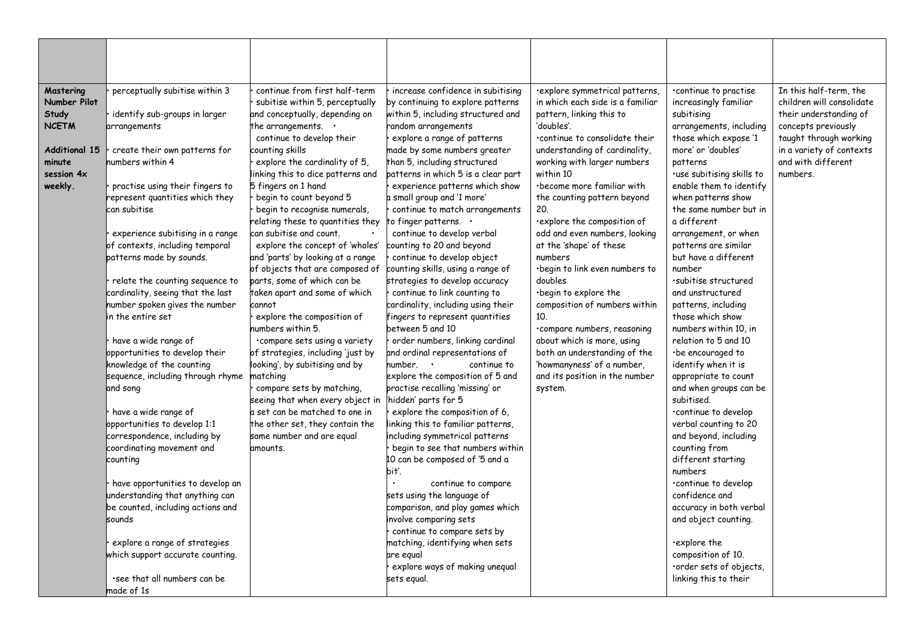| Mastering<br>Number Pilot<br>Study<br><b>NCETM</b><br><b>Additional 15</b><br>minute<br>session 4x<br>weekly. | perceptually subitise within 3<br>identify sub-groups in larger<br>arrangements<br>create their own patterns for<br>numbers within 4<br>practise using their fingers to<br>represent quantities which they<br>can subitise<br>experience subitising in a range<br>of contexts, including temporal<br>patterns made by sounds.<br>relate the counting sequence to | continue from first half-term<br>subitise within 5, perceptually<br>and conceptually, depending on<br>the arrangements. $\cdot$<br>continue to develop their<br>counting skills<br>explore the cardinality of 5,<br>linking this to dice patterns and<br>5 fingers on 1 hand<br>begin to count beyond 5<br>begin to recognise numerals,<br>relating these to quantities they<br>can subitise and count.<br>explore the concept of 'wholes'<br>and 'parts' by looking at a range<br>of objects that are composed of<br>parts, some of which can be | increase confidence in subitising<br>by continuing to explore patterns<br>within 5, including structured and<br>random arrangements<br>explore a range of patterns<br>made by some numbers greater<br>than 5, including structured<br>patterns in which 5 is a clear part<br>experience patterns which show<br>a small group and '1 more'<br>continue to match arrangements<br>to finger patterns. .<br>continue to develop verbal<br>counting to 20 and beyond<br>continue to develop object<br>counting skills, using a range of<br>strategies to develop accuracy | ·explore symmetrical patterns,<br>in which each side is a familiar<br>pattern, linking this to<br>'doubles'.<br>.continue to consolidate their<br>understanding of cardinality,<br>working with larger numbers<br>within 10<br>·become more familiar with<br>the counting pattern beyond<br>20.<br>explore the composition of<br>odd and even numbers, looking<br>at the 'shape' of these<br>numbers<br>·begin to link even numbers to<br>doubles | continue to practise<br>increasingly familiar<br>subitising<br>arrangements, including<br>those which expose '1<br>more' or 'doubles'<br>patterns<br>·use subitising skills to<br>enable them to identify<br>when patterns show<br>the same number but in<br>a different<br>arrangement, or when<br>patterns are similar<br>but have a different<br>number<br>·subitise structured | In this half-term, the<br>children will consolidate<br>their understanding of<br>concepts previously<br>taught through working<br>in a variety of contexts<br>and with different<br>numbers. |
|---------------------------------------------------------------------------------------------------------------|------------------------------------------------------------------------------------------------------------------------------------------------------------------------------------------------------------------------------------------------------------------------------------------------------------------------------------------------------------------|---------------------------------------------------------------------------------------------------------------------------------------------------------------------------------------------------------------------------------------------------------------------------------------------------------------------------------------------------------------------------------------------------------------------------------------------------------------------------------------------------------------------------------------------------|----------------------------------------------------------------------------------------------------------------------------------------------------------------------------------------------------------------------------------------------------------------------------------------------------------------------------------------------------------------------------------------------------------------------------------------------------------------------------------------------------------------------------------------------------------------------|---------------------------------------------------------------------------------------------------------------------------------------------------------------------------------------------------------------------------------------------------------------------------------------------------------------------------------------------------------------------------------------------------------------------------------------------------|------------------------------------------------------------------------------------------------------------------------------------------------------------------------------------------------------------------------------------------------------------------------------------------------------------------------------------------------------------------------------------|----------------------------------------------------------------------------------------------------------------------------------------------------------------------------------------------|
|                                                                                                               | cardinality, seeing that the last<br>number spoken gives the number                                                                                                                                                                                                                                                                                              | taken apart and some of which<br>cannot                                                                                                                                                                                                                                                                                                                                                                                                                                                                                                           | continue to link counting to<br>cardinality, including using their                                                                                                                                                                                                                                                                                                                                                                                                                                                                                                   | ·begin to explore the<br>composition of numbers within                                                                                                                                                                                                                                                                                                                                                                                            | and unstructured<br>patterns, including                                                                                                                                                                                                                                                                                                                                            |                                                                                                                                                                                              |
|                                                                                                               | <b>i</b> n the entire set                                                                                                                                                                                                                                                                                                                                        | explore the composition of<br>umbers within 5.                                                                                                                                                                                                                                                                                                                                                                                                                                                                                                    | fingers to represent quantities<br>between 5 and 10                                                                                                                                                                                                                                                                                                                                                                                                                                                                                                                  | 10.                                                                                                                                                                                                                                                                                                                                                                                                                                               | those which show<br>numbers within 10. in                                                                                                                                                                                                                                                                                                                                          |                                                                                                                                                                                              |
|                                                                                                               | have a wide range of<br>opportunities to develop their<br>knowledge of the counting<br>sequence, including through rhyme<br>and song<br>have a wide range of<br>opportunities to develop 1:1<br>correspondence, including by<br>coordinating movement and                                                                                                        | .compare sets using a variety<br>of strategies, including 'just by<br>looking', by subitising and by<br>matching<br>compare sets by matching,<br>seeing that when every object in<br>a set can be matched to one in<br>the other set, they contain the<br>same number and are equal<br>amounts.                                                                                                                                                                                                                                                   | order numbers, linking cardinal<br>and ordinal representations of<br>number. •<br>continue to<br>explore the composition of 5 and<br>practise recalling 'missing' or<br>hidden' parts for 5<br>explore the composition of 6,<br>linking this to familiar patterns,<br>including symmetrical patterns<br>begin to see that numbers within                                                                                                                                                                                                                             | .compare numbers, reasoning<br>about which is more, using<br>both an understanding of the<br>'howmanyness' of a number,<br>and its position in the number<br>system.                                                                                                                                                                                                                                                                              | relation to 5 and 10<br>·be encouraged to<br>identify when it is<br>appropriate to count<br>and when groups can be<br>subitised.<br>continue to develop<br>verbal counting to 20<br>and beyond, including<br>counting from                                                                                                                                                         |                                                                                                                                                                                              |
|                                                                                                               | counting<br>have opportunities to develop an<br>understanding that anything can<br>be counted, including actions and<br>sounds<br>explore a range of strategies<br>which support accurate counting.                                                                                                                                                              |                                                                                                                                                                                                                                                                                                                                                                                                                                                                                                                                                   | 10 can be composed of '5 and a<br>bit'.<br>continue to compare<br>sets using the language of<br>comparison, and play games which<br>involve comparing sets<br>continue to compare sets by<br>matching, identifying when sets<br>are egual                                                                                                                                                                                                                                                                                                                            |                                                                                                                                                                                                                                                                                                                                                                                                                                                   | different starting<br>numbers<br>continue to develop<br>confidence and<br>accuracy in both verbal<br>and object counting.<br>·explore the<br>composition of 10.                                                                                                                                                                                                                    |                                                                                                                                                                                              |
|                                                                                                               | see that all numbers can be<br>made of 1s                                                                                                                                                                                                                                                                                                                        |                                                                                                                                                                                                                                                                                                                                                                                                                                                                                                                                                   | explore ways of making unequal<br>sets egual.                                                                                                                                                                                                                                                                                                                                                                                                                                                                                                                        |                                                                                                                                                                                                                                                                                                                                                                                                                                                   | order sets of objects,<br>linking this to their                                                                                                                                                                                                                                                                                                                                    |                                                                                                                                                                                              |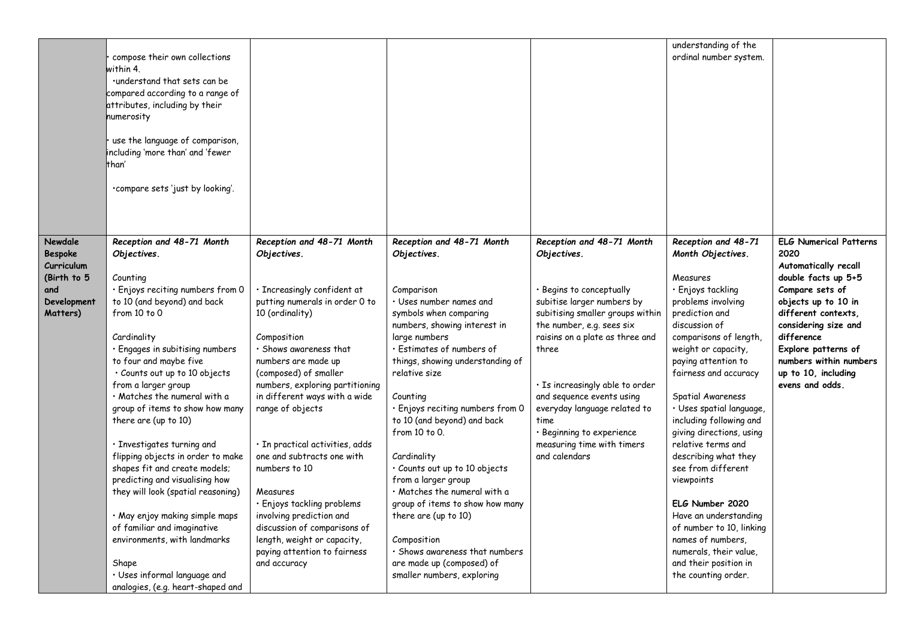|                                                                                          | compose their own collections<br>within 4.<br>.understand that sets can be<br>compared according to a range of<br>attributes, including by their<br>numerosity<br>use the language of comparison,<br>including 'more than' and 'fewer<br>than'<br>.compare sets 'just by looking'.                                                                                                                                                                                                                                                                                                                                                                                                                                                |                                                                                                                                                                                                                                                                                                                                                                                                                                                                                                                                                                                            |                                                                                                                                                                                                                                                                                                                                                                                                                                                                                                                                                                                                                                    |                                                                                                                                                                                                                                                                                                                                                                                                     | understanding of the<br>ordinal number system.                                                                                                                                                                                                                                                                                                                                                                                                                                                                                                                                                       |                                                                                                                                                                                                                                                                                        |
|------------------------------------------------------------------------------------------|-----------------------------------------------------------------------------------------------------------------------------------------------------------------------------------------------------------------------------------------------------------------------------------------------------------------------------------------------------------------------------------------------------------------------------------------------------------------------------------------------------------------------------------------------------------------------------------------------------------------------------------------------------------------------------------------------------------------------------------|--------------------------------------------------------------------------------------------------------------------------------------------------------------------------------------------------------------------------------------------------------------------------------------------------------------------------------------------------------------------------------------------------------------------------------------------------------------------------------------------------------------------------------------------------------------------------------------------|------------------------------------------------------------------------------------------------------------------------------------------------------------------------------------------------------------------------------------------------------------------------------------------------------------------------------------------------------------------------------------------------------------------------------------------------------------------------------------------------------------------------------------------------------------------------------------------------------------------------------------|-----------------------------------------------------------------------------------------------------------------------------------------------------------------------------------------------------------------------------------------------------------------------------------------------------------------------------------------------------------------------------------------------------|------------------------------------------------------------------------------------------------------------------------------------------------------------------------------------------------------------------------------------------------------------------------------------------------------------------------------------------------------------------------------------------------------------------------------------------------------------------------------------------------------------------------------------------------------------------------------------------------------|----------------------------------------------------------------------------------------------------------------------------------------------------------------------------------------------------------------------------------------------------------------------------------------|
| Newdale<br><b>Bespoke</b><br>Curriculum<br>(Birth to 5<br>and<br>Development<br>Matters) | Reception and 48-71 Month<br>Objectives.<br>Counting<br>· Enjoys reciting numbers from 0<br>to 10 (and beyond) and back<br>from 10 to 0<br>Cardinality<br>· Engages in subitising numbers<br>to four and maybe five<br>· Counts out up to 10 objects<br>from a larger group<br>· Matches the numeral with a<br>group of items to show how many<br>there are (up to 10)<br>· Investigates turning and<br>flipping objects in order to make<br>shapes fit and create models;<br>predicting and visualising how<br>they will look (spatial reasoning)<br>· May enjoy making simple maps<br>of familiar and imaginative<br>environments, with landmarks<br>Shape<br>· Uses informal language and<br>analogies, (e.g. heart-shaped and | Reception and 48-71 Month<br>Objectives.<br>· Increasingly confident at<br>putting numerals in order 0 to<br>10 (ordinality)<br>Composition<br>· Shows awareness that<br>numbers are made up<br>(composed) of smaller<br>numbers, exploring partitioning<br>in different ways with a wide<br>range of objects<br>$\cdot$ In practical activities, adds<br>one and subtracts one with<br>numbers to 10<br>Measures<br>· Enjoys tackling problems<br>involving prediction and<br>discussion of comparisons of<br>length, weight or capacity,<br>paying attention to fairness<br>and accuracy | Reception and 48-71 Month<br>Objectives.<br>Comparison<br>• Uses number names and<br>symbols when comparing<br>numbers, showing interest in<br>large numbers<br>· Estimates of numbers of<br>things, showing understanding of<br>relative size<br>Counting<br>· Enjoys reciting numbers from 0<br>to 10 (and beyond) and back<br>from 10 to 0.<br>Cardinality<br>· Counts out up to 10 objects<br>from a larger group<br>$\cdot$ Matches the numeral with a<br>group of items to show how many<br>there are (up to 10)<br>Composition<br>· Shows awareness that numbers<br>are made up (composed) of<br>smaller numbers, exploring | Reception and 48-71 Month<br>Objectives.<br>· Begins to conceptually<br>subitise larger numbers by<br>subitising smaller groups within<br>the number, e.g. sees six<br>raisins on a plate as three and<br>three<br>· Is increasingly able to order<br>and sequence events using<br>everyday language related to<br>time<br>· Beginning to experience<br>measuring time with timers<br>and calendars | Reception and 48-71<br>Month Objectives.<br>Measures<br>· Enjoys tackling<br>problems involving<br>prediction and<br>discussion of<br>comparisons of length,<br>weight or capacity,<br>paying attention to<br>fairness and accuracy<br>Spatial Awareness<br>· Uses spatial language,<br>including following and<br>giving directions, using<br>relative terms and<br>describing what they<br>see from different<br>viewpoints<br>ELG Number 2020<br>Have an understanding<br>of number to 10, linking<br>names of numbers.<br>numerals, their value,<br>and their position in<br>the counting order. | <b>ELG Numerical Patterns</b><br>2020<br>Automatically recall<br>double facts up 5+5<br>Compare sets of<br>objects up to 10 in<br>different contexts,<br>considering size and<br>difference<br>Explore patterns of<br>numbers within numbers<br>up to 10, including<br>evens and odds. |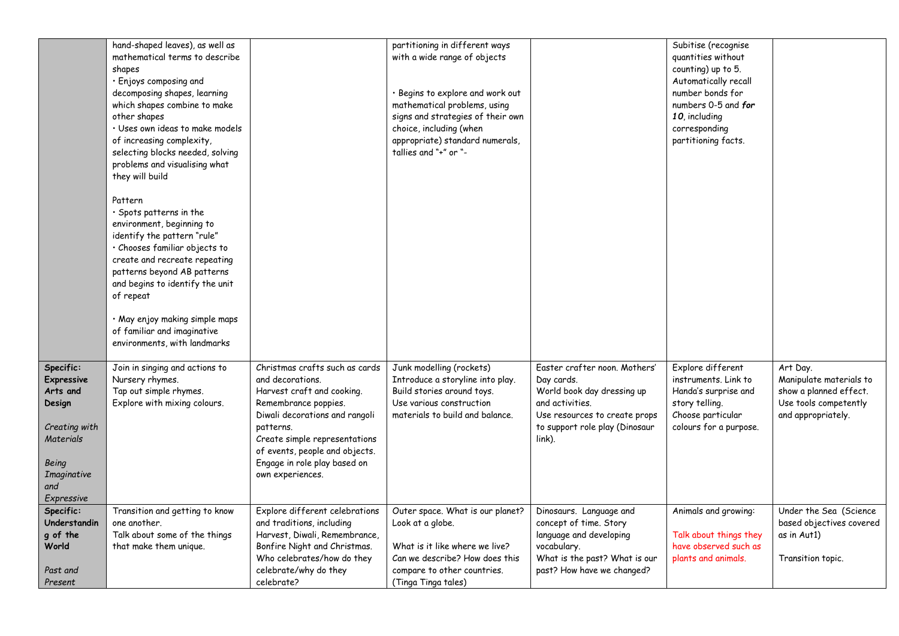|                   | hand-shaped leaves), as well as  |                                | partitioning in different ways    |                                | Subitise (recognise    |                          |
|-------------------|----------------------------------|--------------------------------|-----------------------------------|--------------------------------|------------------------|--------------------------|
|                   | mathematical terms to describe   |                                | with a wide range of objects      |                                | quantities without     |                          |
|                   | shapes                           |                                |                                   |                                | counting) up to 5.     |                          |
|                   | · Enjoys composing and           |                                |                                   |                                | Automatically recall   |                          |
|                   | decomposing shapes, learning     |                                | · Begins to explore and work out  |                                | number bonds for       |                          |
|                   | which shapes combine to make     |                                | mathematical problems, using      |                                | numbers 0-5 and for    |                          |
|                   | other shapes                     |                                | signs and strategies of their own |                                | 10, including          |                          |
|                   | · Uses own ideas to make models  |                                | choice, including (when           |                                | corresponding          |                          |
|                   | of increasing complexity,        |                                | appropriate) standard numerals,   |                                | partitioning facts.    |                          |
|                   | selecting blocks needed, solving |                                | tallies and "+" or "-             |                                |                        |                          |
|                   | problems and visualising what    |                                |                                   |                                |                        |                          |
|                   | they will build                  |                                |                                   |                                |                        |                          |
|                   |                                  |                                |                                   |                                |                        |                          |
|                   | Pattern                          |                                |                                   |                                |                        |                          |
|                   | · Spots patterns in the          |                                |                                   |                                |                        |                          |
|                   | environment, beginning to        |                                |                                   |                                |                        |                          |
|                   | identify the pattern "rule"      |                                |                                   |                                |                        |                          |
|                   | · Chooses familiar objects to    |                                |                                   |                                |                        |                          |
|                   | create and recreate repeating    |                                |                                   |                                |                        |                          |
|                   | patterns beyond AB patterns      |                                |                                   |                                |                        |                          |
|                   | and begins to identify the unit  |                                |                                   |                                |                        |                          |
|                   | of repeat                        |                                |                                   |                                |                        |                          |
|                   |                                  |                                |                                   |                                |                        |                          |
|                   | · May enjoy making simple maps   |                                |                                   |                                |                        |                          |
|                   | of familiar and imaginative      |                                |                                   |                                |                        |                          |
|                   | environments, with landmarks     |                                |                                   |                                |                        |                          |
|                   |                                  |                                |                                   |                                |                        |                          |
| Specific:         | Join in singing and actions to   | Christmas crafts such as cards | Junk modelling (rockets)          | Easter crafter noon. Mothers'  | Explore different      | Art Day.                 |
| <b>Expressive</b> | Nursery rhymes.                  | and decorations.               | Introduce a storyline into play.  | Day cards.                     | instruments, Link to   | Manipulate materials to  |
| Arts and          | Tap out simple rhymes.           | Harvest craft and cooking.     | Build stories around toys.        | World book day dressing up     | Handa's surprise and   | show a planned effect.   |
| Design            | Explore with mixing colours.     | Remembrance poppies.           | Use various construction          | and activities.                | story telling.         | Use tools competently    |
|                   |                                  | Diwali decorations and rangoli | materials to build and balance.   | Use resources to create props  | Choose particular      | and appropriately.       |
| Creating with     |                                  | patterns.                      |                                   | to support role play (Dinosaur | colours for a purpose. |                          |
| Materials         |                                  | Create simple representations  |                                   | link).                         |                        |                          |
|                   |                                  | of events, people and objects. |                                   |                                |                        |                          |
| Being             |                                  | Engage in role play based on   |                                   |                                |                        |                          |
| Imaginative       |                                  | own experiences.               |                                   |                                |                        |                          |
| and               |                                  |                                |                                   |                                |                        |                          |
| Expressive        |                                  |                                |                                   |                                |                        |                          |
| Specific:         | Transition and getting to know   | Explore different celebrations | Outer space. What is our planet?  | Dinosaurs. Language and        | Animals and growing:   | Under the Sea (Science   |
| Understandin      | one another.                     | and traditions, including      | Look at a globe.                  | concept of time. Story         |                        | based objectives covered |
| g of the          | Talk about some of the things    | Harvest, Diwali, Remembrance,  |                                   | language and developing        | Talk about things they | as in Aut1)              |
| World             | that make them unique.           | Bonfire Night and Christmas.   | What is it like where we live?    | vocabulary.                    | have observed such as  |                          |
|                   |                                  | Who celebrates/how do they     | Can we describe? How does this    | What is the past? What is our  | plants and animals.    | Transition topic.        |
| Past and          |                                  | celebrate/why do they          | compare to other countries.       | past? How have we changed?     |                        |                          |
| Present           |                                  | celebrate?                     | (Tinga Tinga tales)               |                                |                        |                          |
|                   |                                  |                                |                                   |                                |                        |                          |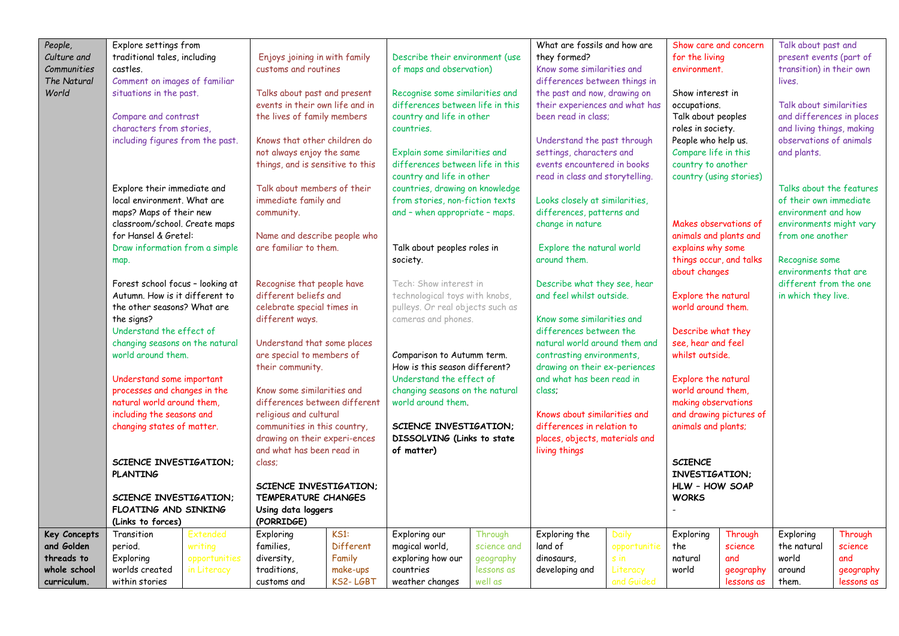| People,             | Explore settings from                          |               |                                                            |           |                                          |                                                                | What are fossils and how are                    |              | Show care and concern                    |                         | Talk about past and       |            |
|---------------------|------------------------------------------------|---------------|------------------------------------------------------------|-----------|------------------------------------------|----------------------------------------------------------------|-------------------------------------------------|--------------|------------------------------------------|-------------------------|---------------------------|------------|
| Culture and         | traditional tales, including                   |               | Enjoys joining in with family                              |           | Describe their environment (use          |                                                                | they formed?                                    |              | for the living                           |                         | present events (part of   |            |
| Communities         | castles.                                       |               | customs and routines                                       |           | of maps and observation)                 |                                                                | Know some similarities and                      |              | environment.                             |                         | transition) in their own  |            |
| The Natural         | Comment on images of familiar                  |               |                                                            |           |                                          |                                                                | differences between things in                   |              |                                          |                         | lives.                    |            |
| World               | situations in the past.                        |               | Talks about past and present                               |           | Recognise some similarities and          |                                                                | the past and now, drawing on                    |              | Show interest in                         |                         |                           |            |
|                     |                                                |               | events in their own life and in                            |           | differences between life in this         |                                                                | their experiences and what has                  |              | occupations.                             |                         | Talk about similarities   |            |
|                     | Compare and contrast                           |               | the lives of family members                                |           | country and life in other                |                                                                | been read in class:                             |              | Talk about peoples                       |                         | and differences in places |            |
|                     | characters from stories,                       |               |                                                            |           | countries.                               |                                                                |                                                 |              | roles in society.                        |                         | and living things, making |            |
|                     | including figures from the past.               |               | Knows that other children do                               |           |                                          |                                                                | Understand the past through                     |              | People who help us.                      |                         | observations of animals   |            |
|                     |                                                |               | not always enjoy the same                                  |           | Explain some similarities and            |                                                                | settings, characters and                        |              | Compare life in this                     |                         | and plants.               |            |
|                     |                                                |               | things, and is sensitive to this                           |           | differences between life in this         |                                                                | events encountered in books                     |              |                                          | country to another      |                           |            |
|                     |                                                |               |                                                            |           | country and life in other                |                                                                | read in class and storytelling.                 |              | country (using stories)                  |                         |                           |            |
|                     | Explore their immediate and                    |               | Talk about members of their                                |           | countries, drawing on knowledge          |                                                                |                                                 |              |                                          |                         | Talks about the features  |            |
|                     | local environment. What are                    |               | immediate family and                                       |           | from stories, non-fiction texts          |                                                                | Looks closely at similarities,                  |              |                                          |                         | of their own immediate    |            |
|                     | maps? Maps of their new                        |               | community.                                                 |           | and - when appropriate - maps.           |                                                                | differences, patterns and                       |              |                                          |                         | environment and how       |            |
|                     | classroom/school. Create maps                  |               |                                                            |           |                                          |                                                                | change in nature                                |              | Makes observations of                    |                         | environments might vary   |            |
|                     | for Hansel & Gretel:                           |               | Name and describe people who                               |           |                                          |                                                                |                                                 |              | animals and plants and                   |                         | from one another          |            |
|                     | Draw information from a simple                 |               | are familiar to them.                                      |           | Talk about peoples roles in              |                                                                | Explore the natural world                       |              | explains why some                        |                         |                           |            |
|                     | map.                                           |               |                                                            |           | society.                                 |                                                                | around them.                                    |              | things occur, and talks<br>about changes |                         | Recognise some            |            |
|                     |                                                |               |                                                            |           |                                          |                                                                |                                                 |              |                                          |                         | environments that are     |            |
|                     | Forest school focus - looking at               |               | Recognise that people have                                 |           | Tech: Show interest in                   |                                                                | Describe what they see, hear                    |              |                                          |                         | different from the one    |            |
|                     | Autumn. How is it different to                 |               | different beliefs and                                      |           | technological toys with knobs,           |                                                                | and feel whilst outside.                        |              | Explore the natural                      |                         | in which they live.       |            |
|                     | the other seasons? What are                    |               | celebrate special times in                                 |           | pulleys. Or real objects such as         |                                                                |                                                 |              | world around them.                       |                         |                           |            |
|                     | the signs?                                     |               | different ways.                                            |           | cameras and phones.                      |                                                                | Know some similarities and                      |              |                                          |                         |                           |            |
|                     | Understand the effect of                       |               |                                                            |           |                                          |                                                                | differences between the                         |              | Describe what they                       |                         |                           |            |
|                     | changing seasons on the natural                |               | Understand that some places                                |           |                                          |                                                                | natural world around them and                   |              | see, hear and feel                       |                         |                           |            |
|                     | world around them.                             |               | are special to members of                                  |           | Comparison to Autumm term.               |                                                                | contrasting environments,                       |              | whilst outside.                          |                         |                           |            |
|                     |                                                |               | their community.                                           |           |                                          | How is this season different?<br>drawing on their ex-periences |                                                 |              |                                          |                         |                           |            |
|                     | Understand some important                      |               |                                                            |           | Understand the effect of                 |                                                                | and what has been read in                       |              | Explore the natural                      |                         |                           |            |
|                     | processes and changes in the                   |               | Know some similarities and                                 |           | changing seasons on the natural          |                                                                | class:                                          |              | world around them,                       |                         |                           |            |
|                     | natural world around them,                     |               | differences between different                              |           | world around them.                       |                                                                |                                                 |              | making observations                      |                         |                           |            |
|                     | including the seasons and                      |               | religious and cultural                                     |           |                                          |                                                                | Knows about similarities and                    |              |                                          | and drawing pictures of |                           |            |
|                     | changing states of matter.                     |               | communities in this country,                               |           | SCIENCE INVESTIGATION;                   |                                                                | differences in relation to                      |              | animals and plants;                      |                         |                           |            |
|                     |                                                |               | drawing on their experi-ences<br>and what has been read in |           | DISSOLVING (Links to state<br>of matter) |                                                                | places, objects, materials and<br>living things |              |                                          |                         |                           |            |
|                     | SCIENCE INVESTIGATION;                         |               |                                                            |           |                                          |                                                                |                                                 |              | <b>SCIENCE</b>                           |                         |                           |            |
|                     | <b>PLANTING</b>                                |               | class;                                                     |           |                                          |                                                                |                                                 |              | INVESTIGATION:                           |                         |                           |            |
|                     |                                                |               | SCIENCE INVESTIGATION:                                     |           |                                          |                                                                |                                                 |              | HLW - HOW SOAP                           |                         |                           |            |
|                     |                                                |               | TEMPERATURE CHANGES                                        |           |                                          |                                                                |                                                 |              | <b>WORKS</b>                             |                         |                           |            |
|                     | SCIENCE INVESTIGATION:<br>FLOATING AND SINKING |               | Using data loggers                                         |           |                                          |                                                                |                                                 |              |                                          |                         |                           |            |
|                     | (Links to forces)                              |               | (PORRIDGE)                                                 |           |                                          |                                                                |                                                 |              |                                          |                         |                           |            |
| <b>Key Concepts</b> | Transition                                     | Extended      | Exploring                                                  | KS1:      | Exploring our                            | Through                                                        | Exploring the                                   | <b>Daily</b> | Exploring                                | Through                 | Exploring                 | Through    |
| and Golden          | period.                                        | writing       | families,                                                  | Different | magical world,                           | science and                                                    | land of                                         | opportunitie | the                                      | science                 | the natural               | science    |
| threads to          | Exploring                                      | opportunities | diversity,                                                 | Family    | exploring how our                        | geography                                                      | dinosaurs,                                      | s in         | natural                                  | and                     | world                     | and        |
| whole school        | worlds created                                 | in Literacy   | traditions,                                                | make-ups  | countries                                | lessons as                                                     | developing and                                  | Literacy     | world                                    | geography               | around                    | geography  |
| curriculum.         | within stories                                 |               | customs and                                                | KS2-LGBT  | weather changes                          | well as                                                        |                                                 | and Guided   |                                          | lessons as              | them.                     | lessons as |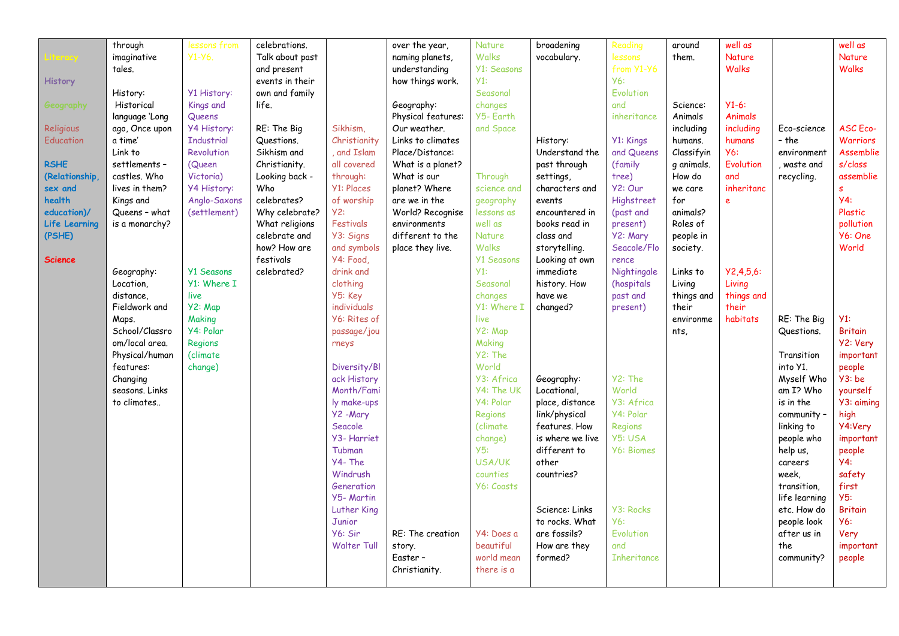|                | through        | lessons from       | celebrations.   |                      | over the year,     | Nature             | broadening       | Reading            | around     | well as       |               | well as         |
|----------------|----------------|--------------------|-----------------|----------------------|--------------------|--------------------|------------------|--------------------|------------|---------------|---------------|-----------------|
|                | imaginative    | $Y1-Y6$            | Talk about past |                      | naming planets,    | <b>Walks</b>       | vocabulary.      | lessons            | them.      | <b>Nature</b> |               | <b>Nature</b>   |
|                | tales.         |                    | and present     |                      | understanding      | <b>Y1: Seasons</b> |                  | from Y1-Y6         |            | <b>Walks</b>  |               | <b>Walks</b>    |
|                |                |                    |                 |                      |                    | Y1:                |                  | <b>Y6:</b>         |            |               |               |                 |
| <b>History</b> |                |                    | events in their |                      | how things work.   |                    |                  | Evolution          |            |               |               |                 |
|                | History:       | Y1 History:        | own and family  |                      |                    | Seasonal           |                  |                    |            |               |               |                 |
| Geography      | Historical     | Kings and          | life.           |                      | Geography:         | changes            |                  | and                | Science:   | $Y1-6:$       |               |                 |
|                | language 'Long | Queens             |                 |                      | Physical features: | Y5- Earth          |                  | inheritance        | Animals    | Animals       |               |                 |
| Religious      | ago, Once upon | <b>Y4 History:</b> | RE: The Big     | Sikhism,             | Our weather.       | and Space          |                  |                    | including  | including     | Fco-science   | <b>ASC</b> Eco- |
| Education      | a time'        | <b>Industrial</b>  | Questions.      | Christianity         | Links to climates  |                    | History:         | Y1: Kings          | humans.    | humans        | - the         | <b>Warriors</b> |
|                | Link to        | Revolution         | Sikhism and     | and Islam            | Place/Distance:    |                    | Understand the   | and Queens         | Classifyin | <b>Y6:</b>    | environment   | Assemblie       |
| <b>RSHE</b>    | settlements -  | (Queen             | Christianity.   | all covered          | What is a planet?  |                    | past through     | (family            | q animals. | Evolution     | , waste and   | s/class         |
| (Relationship, | castles. Who   | Victoria)          | Looking back -  | through:             | What is our        | Through            | settings.        | tree)              | How do     | and           | recycling.    | assemblie       |
| sex and        | lives in them? | Y4 History:        | Who             | <b>Y1: Places</b>    | planet? Where      | science and        | characters and   | Y2: Our            | we care    | inheritanc    |               | s.              |
| health         | Kings and      | Anglo-Saxons       | celebrates?     | of worship           | are we in the      | geography          | events           | Highstreet         | for        | e             |               | <b>y4:</b>      |
| education)/    | Queens - what  | (settlement)       | Why celebrate?  | Y2:                  | World? Recognise   | lessons as         | encountered in   | (past and          | animals?   |               |               | Plastic         |
| Life Learning  | is a monarchy? |                    | What religions  | Festivals            | environments       | well as            | books read in    | present)           | Roles of   |               |               | pollution       |
| (PSHE)         |                |                    | celebrate and   | Y3: Signs            | different to the   | <b>Nature</b>      | class and        | Y2: Mary           | people in  |               |               | Y6: One         |
|                |                |                    | how? How are    | and symbols          | place they live.   | <b>Walks</b>       | storytelling.    | Seacole/Flo        | society.   |               |               | World           |
| <b>Science</b> |                |                    | festivals       | Y4: Food,            |                    | <b>Y1 Seasons</b>  | Looking at own   | rence              |            |               |               |                 |
|                | Geography:     | <b>Y1 Seasons</b>  | celebrated?     | drink and            |                    | $Y1$ :             | immediate        | Nightingale        | Links to   | Y2,4,5,6:     |               |                 |
|                | Location,      | Y1: Where I        |                 | clothing             |                    | Seasonal           | history. How     | (hospitals         | Living     | Living        |               |                 |
|                | distance,      | live               |                 | Y5: Key              |                    | changes            | have we          | past and           | things and | things and    |               |                 |
|                | Fieldwork and  | Y2: Map            |                 | individuals          |                    | Y1: Where I        | changed?         | present)           | their      | their         |               |                 |
|                | Maps.          | Making             |                 | Y6: Rites of         |                    | live               |                  |                    | environme  | habitats      | RE: The Big   | Y1:             |
|                | School/Classro | Y4: Polar          |                 | passage/jou          |                    | Y2: Map            |                  |                    | nts,       |               | Questions.    | <b>Britain</b>  |
|                | om/local area. | Regions            |                 | rneys                |                    | Making             |                  |                    |            |               |               | Y2: Very        |
|                | Physical/human | (climate           |                 |                      |                    | Y2: The            |                  |                    |            |               | Transition    | important       |
|                | features:      | change)            |                 | Diversity/Bl         |                    | World              |                  |                    |            |               | into Y1.      | people          |
|                | Changing       |                    |                 | ack History          |                    | Y3: Africa         | Geography:       | Y2: The            |            |               | Myself Who    | Y3:be           |
|                | seasons. Links |                    |                 | Month/Fami           |                    | Y4: The UK         | Locational,      | World              |            |               | am I? Who     | yourself        |
|                | to climates    |                    |                 | ly make-ups          |                    | Y4: Polar          | place, distance  | Y3: Africa         |            |               | is in the     | Y3: aiming      |
|                |                |                    |                 |                      |                    |                    | link/physical    | Y4: Polar          |            |               |               |                 |
|                |                |                    |                 | Y2 - Mary<br>Seacole |                    | Regions            |                  |                    |            |               | community -   | high            |
|                |                |                    |                 |                      |                    | (climate           | features. How    | Regions            |            |               | linking to    | Y4:Very         |
|                |                |                    |                 | Y3- Harriet          |                    | change)            | is where we live | Y5: USA            |            |               | people who    | important       |
|                |                |                    |                 | Tubman               |                    | Y5:                | different to     | <b>Y6: Biomes</b>  |            |               | help us,      | people          |
|                |                |                    |                 | Y4-The               |                    | <b>USA/UK</b>      | other            |                    |            |               | careers       | Y4:             |
|                |                |                    |                 | Windrush             |                    | counties           | countries?       |                    |            |               | week.         | safety          |
|                |                |                    |                 | Generation           |                    | Y6: Coasts         |                  |                    |            |               | transition,   | first           |
|                |                |                    |                 | Y5- Martin           |                    |                    |                  |                    |            |               | life learning | Y5:             |
|                |                |                    |                 | Luther King          |                    |                    | Science: Links   | <b>Y3: Rocks</b>   |            |               | etc. How do   | <b>Britain</b>  |
|                |                |                    |                 | Junior               |                    |                    | to rocks. What   | <b>Y6:</b>         |            |               | people look   | <b>Y6:</b>      |
|                |                |                    |                 | Y6: Sir              | RE: The creation   | Y4: Does a         | are fossils?     | Evolution          |            |               | after us in   | Very            |
|                |                |                    |                 | <b>Walter Tull</b>   | story.             | beautiful          | How are they     | and                |            |               | the           | important       |
|                |                |                    |                 |                      | Easter –           | world mean         | formed?          | <b>Inheritance</b> |            |               | community?    | people          |
|                |                |                    |                 |                      | Christianity.      | there is a         |                  |                    |            |               |               |                 |
|                |                |                    |                 |                      |                    |                    |                  |                    |            |               |               |                 |